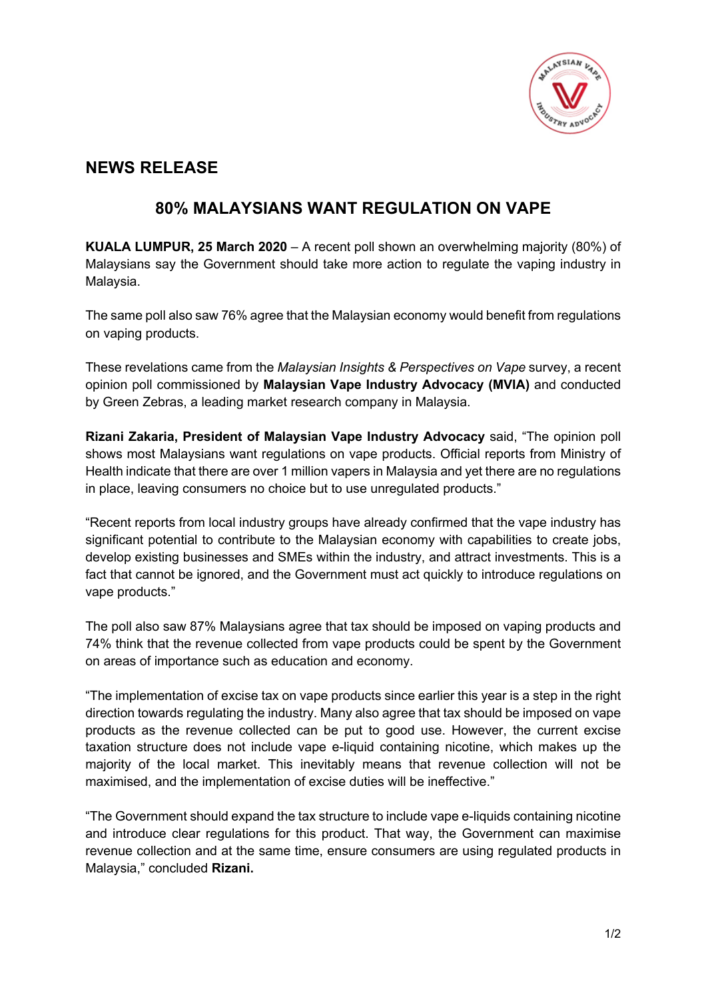

## **NEWS RELEASE**

## **80% MALAYSIANS WANT REGULATION ON VAPE**

**KUALA LUMPUR, 25 March 2020** – A recent poll shown an overwhelming majority (80%) of Malaysians say the Government should take more action to regulate the vaping industry in Malaysia.

The same poll also saw 76% agree that the Malaysian economy would benefit from regulations on vaping products.

These revelations came from the *Malaysian Insights & Perspectives on Vape* survey, a recent opinion poll commissioned by **Malaysian Vape Industry Advocacy (MVIA)** and conducted by Green Zebras, a leading market research company in Malaysia.

**Rizani Zakaria, President of Malaysian Vape Industry Advocacy** said, "The opinion poll shows most Malaysians want regulations on vape products. Official reports from Ministry of Health indicate that there are over 1 million vapers in Malaysia and yet there are no regulations in place, leaving consumers no choice but to use unregulated products."

"Recent reports from local industry groups have already confirmed that the vape industry has significant potential to contribute to the Malaysian economy with capabilities to create jobs, develop existing businesses and SMEs within the industry, and attract investments. This is a fact that cannot be ignored, and the Government must act quickly to introduce regulations on vape products."

The poll also saw 87% Malaysians agree that tax should be imposed on vaping products and 74% think that the revenue collected from vape products could be spent by the Government on areas of importance such as education and economy.

"The implementation of excise tax on vape products since earlier this year is a step in the right direction towards regulating the industry. Many also agree that tax should be imposed on vape products as the revenue collected can be put to good use. However, the current excise taxation structure does not include vape e-liquid containing nicotine, which makes up the majority of the local market. This inevitably means that revenue collection will not be maximised, and the implementation of excise duties will be ineffective."

"The Government should expand the tax structure to include vape e-liquids containing nicotine and introduce clear regulations for this product. That way, the Government can maximise revenue collection and at the same time, ensure consumers are using regulated products in Malaysia," concluded **Rizani.**